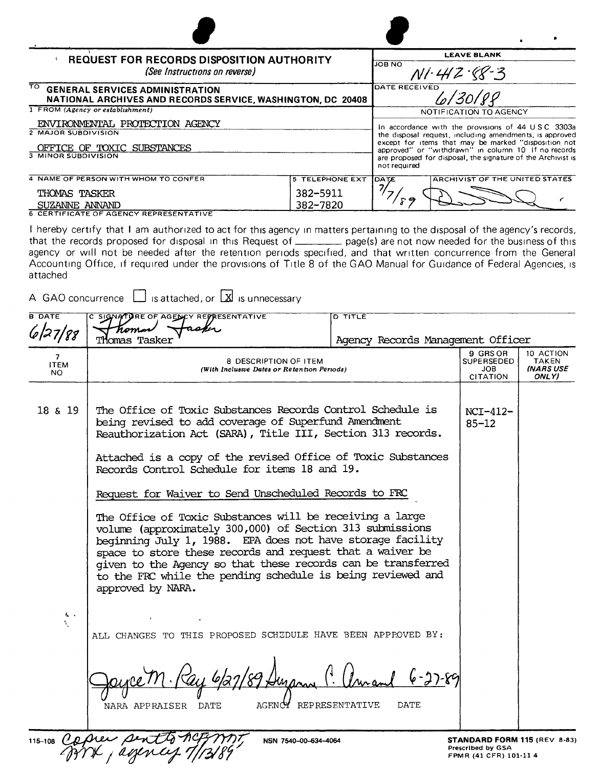| REQUEST FOR RECORDS DISPOSITION AUTHORITY<br>(See Instructions on reverse)                                   |                                                                                                                                                                                                                                                                                                             | <b>LEAVE BLANK</b>                            |  |  |
|--------------------------------------------------------------------------------------------------------------|-------------------------------------------------------------------------------------------------------------------------------------------------------------------------------------------------------------------------------------------------------------------------------------------------------------|-----------------------------------------------|--|--|
|                                                                                                              |                                                                                                                                                                                                                                                                                                             | <b>JOB NO</b><br>$N1.442.88-3$                |  |  |
| ᠊᠊ᡂ<br><b>GENERAL SERVICES ADMINISTRATION</b><br>NATIONAL ARCHIVES AND RECORDS SERVICE, WASHINGTON, DC 20408 | <b>DATE RECEIVED</b><br>.<br>lo/30/88                                                                                                                                                                                                                                                                       |                                               |  |  |
| 1 FROM (Agency or establishment)                                                                             | NOTIFICATION TO AGENCY                                                                                                                                                                                                                                                                                      |                                               |  |  |
| ENVIRONMENTAL PROTECTION AGENCY                                                                              | In accordance with the provisions of 44 USC 3303a<br>the disposal request, including amendments, is approved<br>except for items that may be marked "disposition not<br>approved" or "withdrawn" in column 10 If no records<br>are proposed for disposal, the signature of the Archivist is<br>not required |                                               |  |  |
| <b>2 MAJOR SUBDIVISION</b>                                                                                   |                                                                                                                                                                                                                                                                                                             |                                               |  |  |
| OFFICE OF TOXIC SUBSTANCES                                                                                   |                                                                                                                                                                                                                                                                                                             |                                               |  |  |
| <b>3 MINOR SUBDIVISION</b>                                                                                   |                                                                                                                                                                                                                                                                                                             |                                               |  |  |
| 4 NAME OF PERSON WITH WHOM TO CONFER                                                                         | <b>5 TELEPHONE EXT</b>                                                                                                                                                                                                                                                                                      | <b>ARCHIVIST OF THE UNITED STATES</b><br>DATE |  |  |
| THOMAS TASKER                                                                                                | 382-5911                                                                                                                                                                                                                                                                                                    |                                               |  |  |
| SUZANNE ANNAND                                                                                               | 382-7820                                                                                                                                                                                                                                                                                                    |                                               |  |  |
| 6 CERTIFICATE OF AGENCY REPRESENTATIVE                                                                       |                                                                                                                                                                                                                                                                                                             |                                               |  |  |

I hereby certify that I am authorized to act for this agency In matters pertaining to the disposal of the agency's records, that the records proposed for disposal in this Request of \_\_\_\_\_\_\_\_ page(s) are not now needed for the business of this agency or will not be needed after the retention periods specrfred. and that written concurrence from the General Accounting Office, if required under the provisions of Title 8 of the GAO Manual for Guidance of Federal Agencies, is attached

| <b>B DATE</b>           | C SIGNATURE OF AGENCY REPRESENTATIVE<br>Tiomos                                                                                                                                                                                                                                                                                                                                                       | $\overline{D}$ TITLE              |                                                         |                                                 |
|-------------------------|------------------------------------------------------------------------------------------------------------------------------------------------------------------------------------------------------------------------------------------------------------------------------------------------------------------------------------------------------------------------------------------------------|-----------------------------------|---------------------------------------------------------|-------------------------------------------------|
| 6/27/88                 | Thomas Tasker                                                                                                                                                                                                                                                                                                                                                                                        | Agency Records Management Officer |                                                         |                                                 |
| 7<br><b>ITEM</b><br>NO. | 8 DESCRIPTION OF ITEM<br>(With Incluswe Dates or Retention Periods)                                                                                                                                                                                                                                                                                                                                  |                                   | 9 GRS OR<br>SUPERSEDED<br><b>JOB</b><br><b>CITATION</b> | 10 ACTION<br><b>TAKEN</b><br>(NARS USE<br>ONLY) |
| 18 & 19                 | The Office of Toxic Substances Records Control Schedule is<br>being revised to add coverage of Superfund Amendment<br>Reauthorization Act (SARA), Title III, Section 313 records.<br>Attached is a copy of the revised Office of Toxic Substances<br>Records Control Schedule for items 18 and 19.<br>Request for Waiver to Send Unscheduled Records to FRC                                          |                                   |                                                         |                                                 |
|                         |                                                                                                                                                                                                                                                                                                                                                                                                      |                                   |                                                         |                                                 |
|                         | The Office of Toxic Substances will be receiving a large<br>volume (approximately 300,000) of Section 313 submissions<br>beginning July 1, 1988. EPA does not have storage facility<br>space to store these records and request that a waiver be<br>given to the Agency so that these records can be transferred<br>to the FRC while the pending schedule is being reviewed and<br>approved by NARA. |                                   |                                                         |                                                 |
| ι.<br>¥.                | ALL CHANGES TO THIS PROPOSED SCHEDULE HAVE BEEN APPROVED BY:                                                                                                                                                                                                                                                                                                                                         |                                   |                                                         |                                                 |
|                         | AGENCY REPRESENTATIVE<br>DATE<br>NARA APPRAISER                                                                                                                                                                                                                                                                                                                                                      | <b>DATE</b>                       |                                                         |                                                 |

nei pentty hoff W<br>K <sub>/</sub> agency 1/13/8

115-108  $\mathcal{C}$